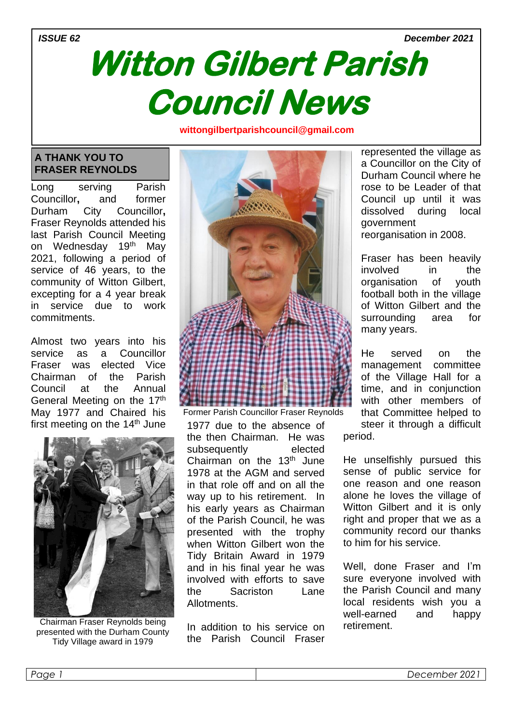#### *ISSUE 62 December 2021*

# **Witton Gilbert Parish Council News**

**wittongilbertparishcouncil@gmail.com om**

### **A THANK YOU TO FRASER REYNOLDS**

Long serving Parish Councillor**,** and former Durham City Councillor**,** Fraser Reynolds attended his last Parish Council Meeting on Wednesday 19<sup>th</sup> May 2021, following a period of service of 46 years, to the community of Witton Gilbert, excepting for a 4 year break in service due to work commitments.

Almost two years into his service as a Councillor Fraser was elected Vice Chairman of the Parish Council at the Annual General Meeting on the 17th May 1977 and Chaired his first meeting on the  $14<sup>th</sup>$  June 1977 due to the absence of



Chairman Fraser Reynolds being presented with the Durham County Tidy Village award in 1979



Former Parish Councillor Fraser Reynolds

the then Chairman. He was subsequently elected Chairman on the  $13<sup>th</sup>$  June 1978 at the AGM and served in that role off and on all the way up to his retirement. In his early years as Chairman of the Parish Council, he was presented with the trophy when Witton Gilbert won the Tidy Britain Award in 1979 and in his final year he was involved with efforts to save the Sacriston Lane Allotments.

In addition to his service on the Parish Council Fraser represented the village as a Councillor on the City of Durham Council where he rose to be Leader of that Council up until it was dissolved during local government reorganisation in 2008.

Fraser has been heavily involved in the organisation of youth football both in the village of Witton Gilbert and the surrounding area for many years.

He served on the management committee of the Village Hall for a time, and in conjunction with other members of that Committee helped to steer it through a difficult

period.

He unselfishly pursued this sense of public service for one reason and one reason alone he loves the village of Witton Gilbert and it is only right and proper that we as a community record our thanks to him for his service.

Well, done Fraser and I'm sure everyone involved with the Parish Council and many local residents wish you a well-earned and happy retirement.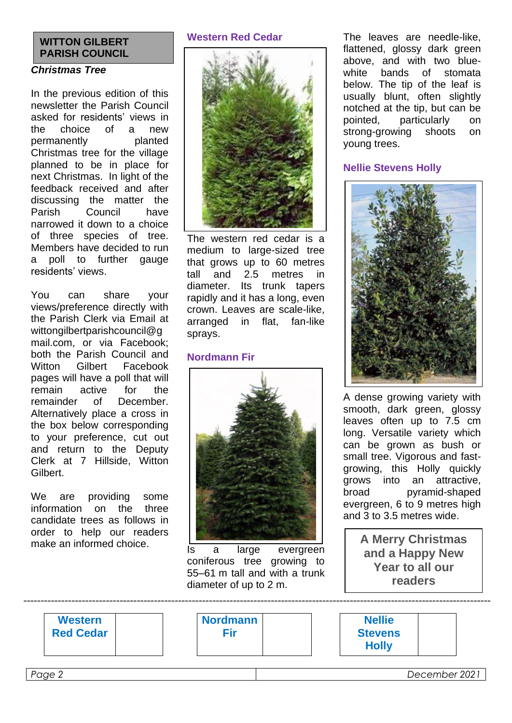# **WITTON GILBERT PARISH COUNCIL**

### *Christmas Tree*

In the previous edition of this newsletter the Parish Council asked for residents' views in the choice of a new permanently planted Christmas tree for the village planned to be in place for next Christmas. In light of the feedback received and after discussing the matter the Parish Council have narrowed it down to a choice of three species of tree. Members have decided to run a poll to further gauge residents' views.

You can share your views/preference directly with the Parish Clerk via Email at wittongilbertparishcouncil@g mail.com, or via Facebook; both the Parish Council and Witton Gilbert Facebook pages will have a poll that will remain active for the remainder of December. Alternatively place a cross in the box below corresponding to your preference, cut out and return to the Deputy Clerk at 7 Hillside, Witton Gilbert.

We are providing some information on the three candidate trees as follows in order to help our readers make an informed choice.

#### **Western Red Cedar**



The western red cedar is a medium to large-sized tree that grows up to 60 metres tall and 2.5 metres in diameter. Its trunk tapers rapidly and it has a long, even crown. Leaves are scale-like, arranged in flat, fan-like sprays.

#### **Nordmann Fir**



Is a large evergreen coniferous tree growing to 55–61 m tall and with a trunk diameter of up to 2 m.

----------------------------------------------------------------------------------------------------------------------------------------

The leaves are needle-like, flattened, glossy dark green above, and with two bluewhite bands of stomata below. The tip of the leaf is usually blunt, often slightly notched at the tip, but can be pointed, particularly on<br>strong-growing shoots on strong-growing shoots on young trees.

#### **Nellie Stevens Holly**



A dense growing variety with smooth, dark green, glossy leaves often up to 7.5 cm long. Versatile variety which can be grown as bush or small tree. Vigorous and fastgrowing, this Holly quickly grows into an attractive, broad pyramid-shaped evergreen, 6 to 9 metres high and 3 to 3.5 metres wide.

> **A Merry Christmas and a Happy New Year to all our readers**

| <b>Western</b>   | <b>Nordmann</b> | <b>Nellie</b>  |
|------------------|-----------------|----------------|
| <b>Red Cedar</b> | =ir             | <b>Stevens</b> |
|                  |                 | <b>Holly</b>   |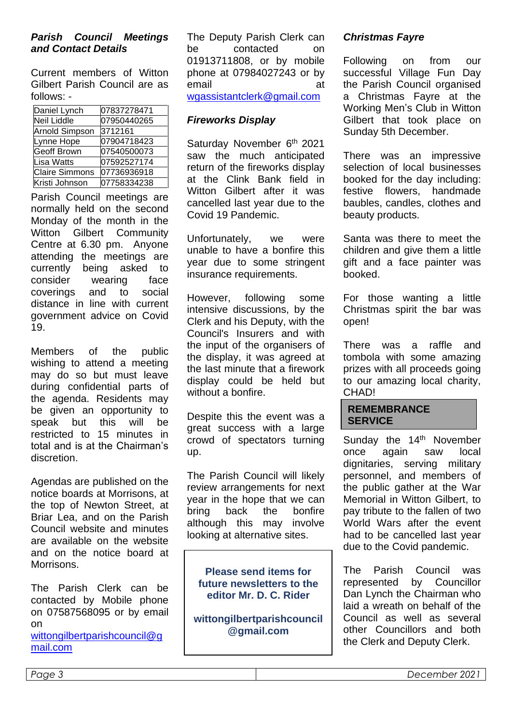#### *Parish Council Meetings and Contact Details*

Current members of Witton Gilbert Parish Council are as follows: -

| Daniel Lynch          | 07837278471 |  |
|-----------------------|-------------|--|
| <b>Neil Liddle</b>    | 07950440265 |  |
| <b>Arnold Simpson</b> | 3712161     |  |
| Lynne Hope            | 07904718423 |  |
| <b>Geoff Brown</b>    | 07540500073 |  |
| Lisa Watts            | 07592527174 |  |
| <b>Claire Simmons</b> | 07736936918 |  |
| Kristi Johnson        | 07758334238 |  |

Parish Council meetings are normally held on the second Monday of the month in the Witton Gilbert Community Centre at 6.30 pm. Anyone attending the meetings are currently being asked to consider wearing face coverings and to social distance in line with current government advice on Covid 19.

Members of the public wishing to attend a meeting may do so but must leave during confidential parts of the agenda. Residents may be given an opportunity to speak but this will be restricted to 15 minutes in total and is at the Chairman's discretion.

Agendas are published on the notice boards at Morrisons, at the top of Newton Street, at Briar Lea, and on the Parish Council website and minutes are available on the website and on the notice board at Morrisons.

The Parish Clerk can be contacted by Mobile phone on 07587568095 or by email on

[wittongilbertparishcouncil@g](mailto:wittongilbertparishcouncil@gmail.com) [mail.com](mailto:wittongilbertparishcouncil@gmail.com)

The Deputy Parish Clerk can be contacted on 01913711808, or by mobile phone at 07984027243 or by email at [wgassistantclerk@gmail.com](mailto:wgassistantclerk@gmail.com)

### *Fireworks Display*

Saturday November 6<sup>th</sup> 2021 saw the much anticipated return of the fireworks display at the Clink Bank field in Witton Gilbert after it was cancelled last year due to the Covid 19 Pandemic.

Unfortunately, we were unable to have a bonfire this year due to some stringent insurance requirements.

However, following some intensive discussions, by the Clerk and his Deputy, with the Council's Insurers and with the input of the organisers of the display, it was agreed at the last minute that a firework display could be held but without a bonfire.

Despite this the event was a great success with a large crowd of spectators turning up.

The Parish Council will likely review arrangements for next year in the hope that we can bring back the bonfire although this may involve looking at alternative sites.

**Please send items for future newsletters to the editor Mr. D. C. Rider**

**wittongilbertparishcouncil @gmail.com**

## *Christmas Fayre*

Following on from our successful Village Fun Day the Parish Council organised a Christmas Fayre at the Working Men's Club in Witton Gilbert that took place on Sunday 5th December.

There was an impressive selection of local businesses booked for the day including: festive flowers, handmade baubles, candles, clothes and beauty products.

Santa was there to meet the children and give them a little gift and a face painter was booked.

For those wanting a little Christmas spirit the bar was open!

There was a raffle and tombola with some amazing prizes with all proceeds going to our amazing local charity, **CHAD!** 

#### **REMEMBRANCE SERVICE**

Sunday the 14<sup>th</sup> November once again saw local dignitaries, serving military personnel, and members of the public gather at the War Memorial in Witton Gilbert, to pay tribute to the fallen of two World Wars after the event had to be cancelled last year due to the Covid pandemic.

The Parish Council was represented by Councillor Dan Lynch the Chairman who laid a wreath on behalf of the Council as well as several other Councillors and both the Clerk and Deputy Clerk.